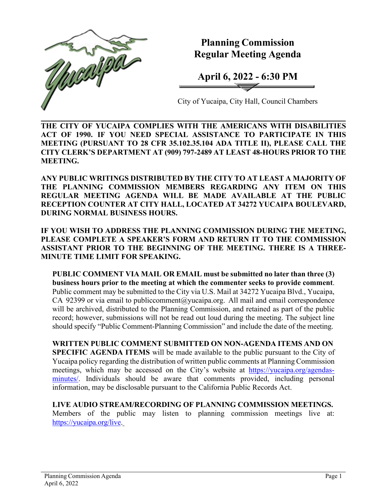

**Planning Commission Regular Meeting Agenda**

**April 6, 2022 - 6:30 PM**

City of Yucaipa, City Hall, Council Chambers

**THE CITY OF YUCAIPA COMPLIES WITH THE AMERICANS WITH DISABILITIES ACT OF 1990. IF YOU NEED SPECIAL ASSISTANCE TO PARTICIPATE IN THIS MEETING (PURSUANT TO 28 CFR 35.102.35.104 ADA TITLE II), PLEASE CALL THE CITY CLERK'S DEPARTMENT AT (909) 797-2489 AT LEAST 48-HOURS PRIOR TO THE MEETING.**

**ANY PUBLIC WRITINGS DISTRIBUTED BY THE CITY TO AT LEAST A MAJORITY OF THE PLANNING COMMISSION MEMBERS REGARDING ANY ITEM ON THIS REGULAR MEETING AGENDA WILL BE MADE AVAILABLE AT THE PUBLIC RECEPTION COUNTER AT CITY HALL, LOCATED AT 34272 YUCAIPA BOULEVARD, DURING NORMAL BUSINESS HOURS.**

**IF YOU WISH TO ADDRESS THE PLANNING COMMISSION DURING THE MEETING, PLEASE COMPLETE A SPEAKER'S FORM AND RETURN IT TO THE COMMISSION ASSISTANT PRIOR TO THE BEGINNING OF THE MEETING. THERE IS A THREE-MINUTE TIME LIMIT FOR SPEAKING.**

**PUBLIC COMMENT VIA MAIL OR EMAIL must be submitted no later than three (3) business hours prior to the meeting at which the commenter seeks to provide comment**. Public comment may be submitted to the City via U.S. Mail at 34272 Yucaipa Blvd., Yucaipa, CA 92399 or via email to [publiccomment@yucaipa.org.](mailto:publiccomment@yucaipa.org) All mail and email correspondence will be archived, distributed to the Planning Commission, and retained as part of the public record; however, submissions will not be read out loud during the meeting. The subject line should specify "Public Comment-Planning Commission" and include the date of the meeting.

**WRITTEN PUBLIC COMMENT SUBMITTED ON NON-AGENDA ITEMS AND ON SPECIFIC AGENDA ITEMS** will be made available to the public pursuant to the City of Yucaipa policy regarding the distribution of written public comments at Planning Commission meetings, which may be accessed on the City's website at [https://yucaipa.org/agendas](https://yucaipa.org/agendas-minutes/)[minutes/.](https://yucaipa.org/agendas-minutes/) Individuals should be aware that comments provided, including personal information, may be disclosable pursuant to the California Public Records Act.

**LIVE AUDIO STREAM/RECORDING OF PLANNING COMMISSION MEETINGS.** Members of the public may listen to planning commission meetings live at: [https://yucaipa.org/live.](https://yucaipa.org/live)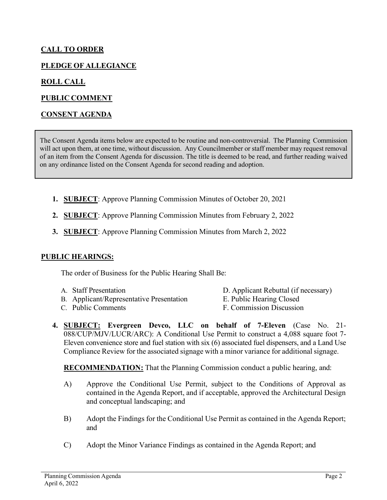# **CALL TO ORDER**

# **PLEDGE OF ALLEGIANCE**

## **ROLL CALL**

## **PUBLIC COMMENT**

### **CONSENT AGENDA**

The Consent Agenda items below are expected to be routine and non-controversial. The Planning Commission will act upon them, at one time, without discussion. Any Councilmember or staff member may request removal of an item from the Consent Agenda for discussion. The title is deemed to be read, and further reading waived on any ordinance listed on the Consent Agenda for second reading and adoption.

- **1. SUBJECT**: Approve Planning Commission Minutes of October 20, 2021
- **2. SUBJECT**: Approve Planning Commission Minutes from February 2, 2022
- **3. SUBJECT**: Approve Planning Commission Minutes from March 2, 2022

#### **PUBLIC HEARINGS:**

The order of Business for the Public Hearing Shall Be:

- 
- B. Applicant/Representative Presentation E. Public Hearing Closed
- A. Staff Presentation D. Applicant Rebuttal (if necessary)
	-
- C. Public Comments F. Commission Discussion
- -
- **4. SUBJECT: Evergreen Devco, LLC on behalf of 7-Eleven** (Case No. 21- 088/CUP/MJV/LUCR/ARC): A Conditional Use Permit to construct a 4,088 square foot 7- Eleven convenience store and fuel station with six (6) associated fuel dispensers, and a Land Use Compliance Review for the associated signage with a minor variance for additional signage.

**RECOMMENDATION:** That the Planning Commission conduct a public hearing, and:

- A) Approve the Conditional Use Permit, subject to the Conditions of Approval as contained in the Agenda Report, and if acceptable, approved the Architectural Design and conceptual landscaping; and
- B) Adopt the Findings for the Conditional Use Permit as contained in the Agenda Report; and
- C) Adopt the Minor Variance Findings as contained in the Agenda Report; and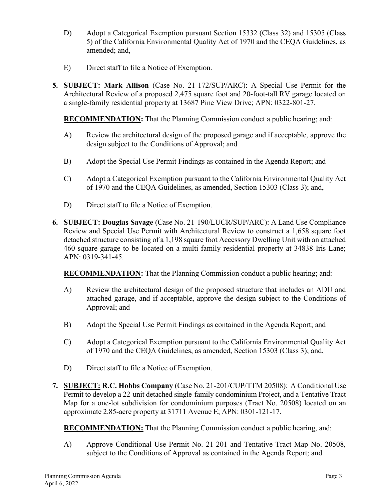- D) Adopt a Categorical Exemption pursuant Section 15332 (Class 32) and 15305 (Class 5) of the California Environmental Quality Act of 1970 and the CEQA Guidelines, as amended; and,
- E) Direct staff to file a Notice of Exemption.
- **5. SUBJECT: Mark Allison** (Case No. 21-172/SUP/ARC): A Special Use Permit for the Architectural Review of a proposed 2,475 square foot and 20-foot-tall RV garage located on a single-family residential property at 13687 Pine View Drive; APN: 0322-801-27.

**RECOMMENDATION:** That the Planning Commission conduct a public hearing; and:

- A) Review the architectural design of the proposed garage and if acceptable, approve the design subject to the Conditions of Approval; and
- B) Adopt the Special Use Permit Findings as contained in the Agenda Report; and
- C) Adopt a Categorical Exemption pursuant to the California Environmental Quality Act of 1970 and the CEQA Guidelines, as amended, Section 15303 (Class 3); and,
- D) Direct staff to file a Notice of Exemption.
- **6. SUBJECT: Douglas Savage** (Case No. 21-190/LUCR/SUP/ARC): A Land Use Compliance Review and Special Use Permit with Architectural Review to construct a 1,658 square foot detached structure consisting of a 1,198 square foot Accessory Dwelling Unit with an attached 460 square garage to be located on a multi-family residential property at 34838 Iris Lane; APN: 0319-341-45.

**RECOMMENDATION:** That the Planning Commission conduct a public hearing; and:

- A) Review the architectural design of the proposed structure that includes an ADU and attached garage, and if acceptable, approve the design subject to the Conditions of Approval; and
- B) Adopt the Special Use Permit Findings as contained in the Agenda Report; and
- C) Adopt a Categorical Exemption pursuant to the California Environmental Quality Act of 1970 and the CEQA Guidelines, as amended, Section 15303 (Class 3); and,
- D) Direct staff to file a Notice of Exemption.
- **7. SUBJECT: R.C. Hobbs Company** (Case No. 21-201/CUP/TTM 20508): A Conditional Use Permit to develop a 22-unit detached single-family condominium Project, and a Tentative Tract Map for a one-lot subdivision for condominium purposes (Tract No. 20508) located on an approximate 2.85-acre property at 31711 Avenue E; APN: 0301-121-17.

**RECOMMENDATION:** That the Planning Commission conduct a public hearing, and:

A) Approve Conditional Use Permit No. 21-201 and Tentative Tract Map No. 20508, subject to the Conditions of Approval as contained in the Agenda Report; and